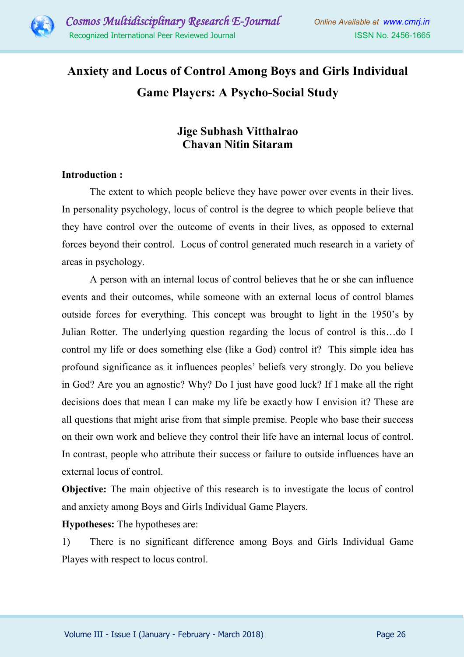

# **Anxiety and Locus of Control Among Boys and Girls Individual Game Players: A Psycho-Social Study**

# **Jige Subhash Vitthalrao Chavan Nitin Sitaram**

# **Introduction :**

The extent to which people believe they have power over events in their lives. In personality psychology, locus of control is the degree to which people believe that they have control over the outcome of events in their lives, as opposed to external forces beyond their control. Locus of control generated much research in a variety of areas in psychology.

A person with an internal locus of control believes that he or she can influence events and their outcomes, while someone with an external locus of control blames outside forces for everything. This concept was brought to light in the 1950's by Julian Rotter. The underlying question regarding the locus of control is this…do I control my life or does something else (like a God) control it? This simple idea has profound significance as it influences peoples' beliefs very strongly. Do you believe in God? Are you an agnostic? Why? Do I just have good luck? If I make all the right decisions does that mean I can make my life be exactly how I envision it? These are all questions that might arise from that simple premise. People who base their success on their own work and believe they control their life have an internal locus of control. In contrast, people who attribute their success or failure to outside influences have an external locus of control.

**Objective:** The main objective of this research is to investigate the locus of control and anxiety among Boys and Girls Individual Game Players.

**Hypotheses:** The hypotheses are:

1) There is no significant difference among Boys and Girls Individual Game Playes with respect to locus control.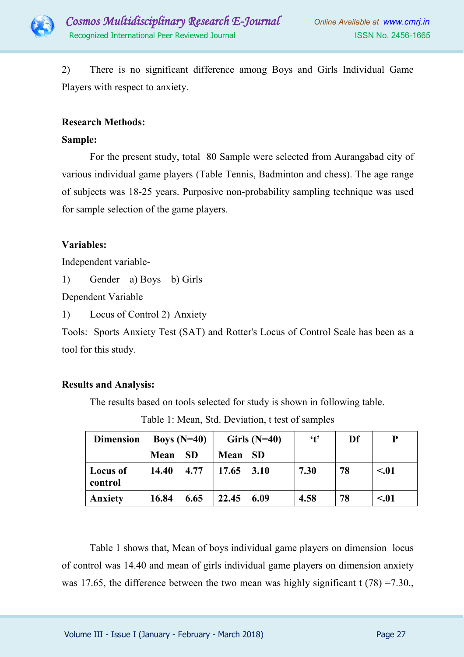

2) There is no significant difference among Boys and Girls Individual Game Players with respect to anxiety.

# **Research Methods:**

#### **Sample:**

For the present study, total 80 Sample were selected from Aurangabad city of various individual game players (Table Tennis, Badminton and chess). The age range of subjects was 18-25 years. Purposive non-probability sampling technique was used for sample selection of the game players.

# **Variables:**

Independent variable-

1) Gender a) Boys b) Girls

Dependent Variable

1) Locus of Control 2) Anxiety

Tools: Sports Anxiety Test (SAT) and Rotter's Locus of Control Scale has been as a tool for this study.

# **Results and Analysis:**

The results based on tools selected for study is shown in following table.

| <b>Dimension</b>           | Boys $(N=40)$ |           | Girls $(N=40)$ |           | $\mathbf{t}$ | Df | P      |
|----------------------------|---------------|-----------|----------------|-----------|--------------|----|--------|
|                            | Mean          | <b>SD</b> | Mean           | <b>SD</b> |              |    |        |
| <b>Locus of</b><br>control | 14.40         | 4.77      | 17.65          | 3.10      | 7.30         | 78 | < 0.01 |
| Anxiety                    | 16.84         | 6.65      | 22.45          | 6.09      | 4.58         | 78 | < 01   |

Table 1: Mean, Std. Deviation, t test of samples

 Table 1 shows that, Mean of boys individual game players on dimension locus of control was 14.40 and mean of girls individual game players on dimension anxiety was 17.65, the difference between the two mean was highly significant t  $(78) = 7.30$ .